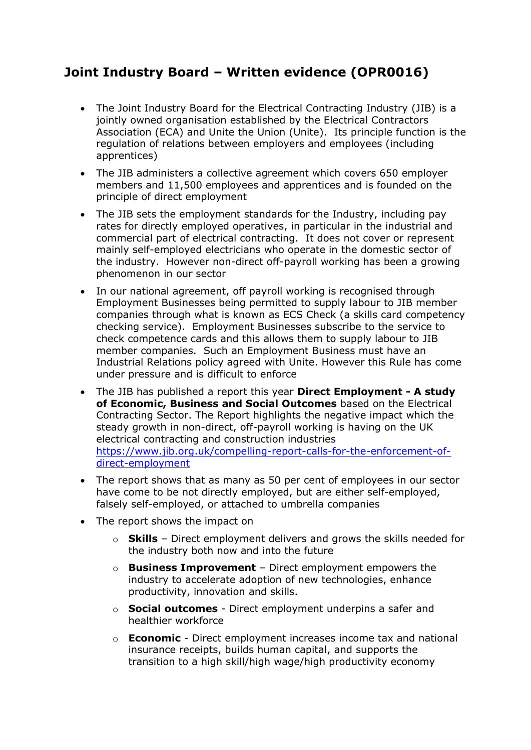## **Joint Industry Board – Written evidence (OPR0016)**

- The Joint Industry Board for the Electrical Contracting Industry (JIB) is a jointly owned organisation established by the Electrical Contractors Association (ECA) and Unite the Union (Unite). Its principle function is the regulation of relations between employers and employees (including apprentices)
- The JIB administers a collective agreement which covers 650 employer members and 11,500 employees and apprentices and is founded on the principle of direct employment
- The JIB sets the employment standards for the Industry, including pay rates for directly employed operatives, in particular in the industrial and commercial part of electrical contracting. It does not cover or represent mainly self-employed electricians who operate in the domestic sector of the industry. However non-direct off-payroll working has been a growing phenomenon in our sector
- In our national agreement, off payroll working is recognised through Employment Businesses being permitted to supply labour to JIB member companies through what is known as ECS Check (a skills card competency checking service). Employment Businesses subscribe to the service to check competence cards and this allows them to supply labour to JIB member companies. Such an Employment Business must have an Industrial Relations policy agreed with Unite. However this Rule has come under pressure and is difficult to enforce
- The JIB has published a report this year **Direct Employment - A study of Economic, Business and Social Outcomes** based on the Electrical Contracting Sector. The Report highlights the negative impact which the steady growth in non-direct, off-payroll working is having on the UK electrical contracting and construction industries [https://www.jib.org.uk/compelling-report-calls-for-the-enforcement-of](https://www.jib.org.uk/compelling-report-calls-for-the-enforcement-of-direct-employment)[direct-employment](https://www.jib.org.uk/compelling-report-calls-for-the-enforcement-of-direct-employment)
- The report shows that as many as 50 per cent of employees in our sector have come to be not directly employed, but are either self-employed, falsely self-employed, or attached to umbrella companies
- The report shows the impact on
	- o **Skills** Direct employment delivers and grows the skills needed for the industry both now and into the future
	- o **Business Improvement** Direct employment empowers the industry to accelerate adoption of new technologies, enhance productivity, innovation and skills.
	- o **Social outcomes** Direct employment underpins a safer and healthier workforce
	- o **Economic** Direct employment increases income tax and national insurance receipts, builds human capital, and supports the transition to a high skill/high wage/high productivity economy